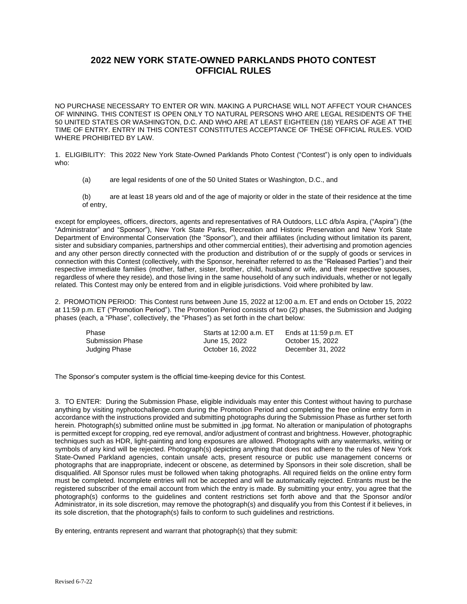## **2022 NEW YORK STATE-OWNED PARKLANDS PHOTO CONTEST OFFICIAL RULES**

NO PURCHASE NECESSARY TO ENTER OR WIN. MAKING A PURCHASE WILL NOT AFFECT YOUR CHANCES OF WINNING. THIS CONTEST IS OPEN ONLY TO NATURAL PERSONS WHO ARE LEGAL RESIDENTS OF THE 50 UNITED STATES OR WASHINGTON, D.C. AND WHO ARE AT LEAST EIGHTEEN (18) YEARS OF AGE AT THE TIME OF ENTRY. ENTRY IN THIS CONTEST CONSTITUTES ACCEPTANCE OF THESE OFFICIAL RULES. VOID WHERE PROHIBITED BY LAW.

1. ELIGIBILITY: This 2022 New York State-Owned Parklands Photo Contest ("Contest") is only open to individuals who:

- (a) are legal residents of one of the 50 United States or Washington, D.C., and
- (b) are at least 18 years old and of the age of majority or older in the state of their residence at the time of entry,

except for employees, officers, directors, agents and representatives of RA Outdoors, LLC d/b/a Aspira, ("Aspira") (the "Administrator" and "Sponsor"), New York State Parks, Recreation and Historic Preservation and New York State Department of Environmental Conservation (the "Sponsor"), and their affiliates (including without limitation its parent, sister and subsidiary companies, partnerships and other commercial entities), their advertising and promotion agencies and any other person directly connected with the production and distribution of or the supply of goods or services in connection with this Contest (collectively, with the Sponsor, hereinafter referred to as the "Released Parties") and their respective immediate families (mother, father, sister, brother, child, husband or wife, and their respective spouses, regardless of where they reside), and those living in the same household of any such individuals, whether or not legally related. This Contest may only be entered from and in eligible jurisdictions. Void where prohibited by law.

2. PROMOTION PERIOD: This Contest runs between June 15, 2022 at 12:00 a.m. ET and ends on October 15, 2022 at 11:59 p.m. ET ("Promotion Period"). The Promotion Period consists of two (2) phases, the Submission and Judging phases (each, a "Phase", collectively, the "Phases") as set forth in the chart below:

| Phase                   | Starts at 12:00 a.m. ET | Ends at 11:59 p.m. ET |
|-------------------------|-------------------------|-----------------------|
| <b>Submission Phase</b> | June 15, 2022           | October 15, 2022      |
| Judging Phase           | October 16, 2022        | December 31, 2022     |

The Sponsor's computer system is the official time-keeping device for this Contest.

3. TO ENTER: During the Submission Phase, eligible individuals may enter this Contest without having to purchase anything by visiting nyphotochallenge.com during the Promotion Period and completing the free online entry form in accordance with the instructions provided and submitting photographs during the Submission Phase as further set forth herein. Photograph(s) submitted online must be submitted in .jpg format. No alteration or manipulation of photographs is permitted except for cropping, red eye removal, and/or adjustment of contrast and brightness. However, photographic techniques such as HDR, light-painting and long exposures are allowed. Photographs with any watermarks, writing or symbols of any kind will be rejected. Photograph(s) depicting anything that does not adhere to the rules of New York State-Owned Parkland agencies, contain unsafe acts, present resource or public use management concerns or photographs that are inappropriate, indecent or obscene, as determined by Sponsors in their sole discretion, shall be disqualified. All Sponsor rules must be followed when taking photographs. All required fields on the online entry form must be completed. Incomplete entries will not be accepted and will be automatically rejected. Entrants must be the registered subscriber of the email account from which the entry is made. By submitting your entry, you agree that the photograph(s) conforms to the guidelines and content restrictions set forth above and that the Sponsor and/or Administrator, in its sole discretion, may remove the photograph(s) and disqualify you from this Contest if it believes, in its sole discretion, that the photograph(s) fails to conform to such guidelines and restrictions.

By entering, entrants represent and warrant that photograph(s) that they submit: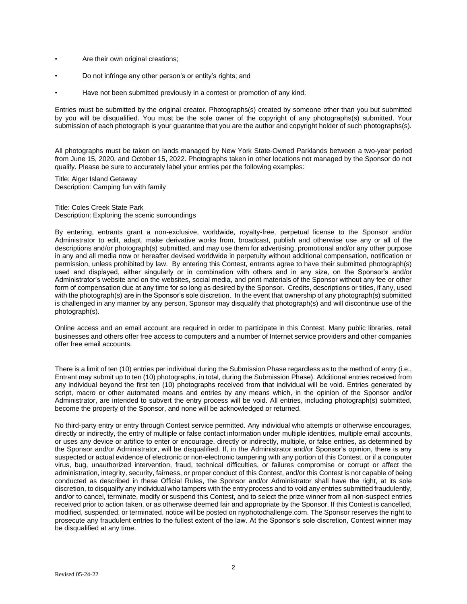- Are their own original creations;
- Do not infringe any other person's or entity's rights; and
- Have not been submitted previously in a contest or promotion of any kind.

Entries must be submitted by the original creator. Photographs(s) created by someone other than you but submitted by you will be disqualified. You must be the sole owner of the copyright of any photographs(s) submitted. Your submission of each photograph is your guarantee that you are the author and copyright holder of such photographs(s).

All photographs must be taken on lands managed by New York State-Owned Parklands between a two-year period from June 15, 2020, and October 15, 2022. Photographs taken in other locations not managed by the Sponsor do not qualify. Please be sure to accurately label your entries per the following examples:

Title: Alger Island Getaway Description: Camping fun with family

Title: Coles Creek State Park Description: Exploring the scenic surroundings

By entering, entrants grant a non-exclusive, worldwide, royalty-free, perpetual license to the Sponsor and/or Administrator to edit, adapt, make derivative works from, broadcast, publish and otherwise use any or all of the descriptions and/or photograph(s) submitted, and may use them for advertising, promotional and/or any other purpose in any and all media now or hereafter devised worldwide in perpetuity without additional compensation, notification or permission, unless prohibited by law. By entering this Contest, entrants agree to have their submitted photograph(s) used and displayed, either singularly or in combination with others and in any size, on the Sponsor's and/or Administrator's website and on the websites, social media, and print materials of the Sponsor without any fee or other form of compensation due at any time for so long as desired by the Sponsor. Credits, descriptions or titles, if any, used with the photograph(s) are in the Sponsor's sole discretion. In the event that ownership of any photograph(s) submitted is challenged in any manner by any person, Sponsor may disqualify that photograph(s) and will discontinue use of the photograph(s).

Online access and an email account are required in order to participate in this Contest. Many public libraries, retail businesses and others offer free access to computers and a number of Internet service providers and other companies offer free email accounts.

There is a limit of ten (10) entries per individual during the Submission Phase regardless as to the method of entry (i.e., Entrant may submit up to ten (10) photographs, in total, during the Submission Phase). Additional entries received from any individual beyond the first ten (10) photographs received from that individual will be void. Entries generated by script, macro or other automated means and entries by any means which, in the opinion of the Sponsor and/or Administrator, are intended to subvert the entry process will be void. All entries, including photograph(s) submitted, become the property of the Sponsor, and none will be acknowledged or returned.

No third-party entry or entry through Contest service permitted. Any individual who attempts or otherwise encourages, directly or indirectly, the entry of multiple or false contact information under multiple identities, multiple email accounts, or uses any device or artifice to enter or encourage, directly or indirectly, multiple, or false entries, as determined by the Sponsor and/or Administrator, will be disqualified. If, in the Administrator and/or Sponsor's opinion, there is any suspected or actual evidence of electronic or non-electronic tampering with any portion of this Contest, or if a computer virus, bug, unauthorized intervention, fraud, technical difficulties, or failures compromise or corrupt or affect the administration, integrity, security, fairness, or proper conduct of this Contest, and/or this Contest is not capable of being conducted as described in these Official Rules, the Sponsor and/or Administrator shall have the right, at its sole discretion, to disqualify any individual who tampers with the entry process and to void any entries submitted fraudulently, and/or to cancel, terminate, modify or suspend this Contest, and to select the prize winner from all non-suspect entries received prior to action taken, or as otherwise deemed fair and appropriate by the Sponsor. If this Contest is cancelled, modified, suspended, or terminated, notice will be posted on nyphotochallenge.com. The Sponsor reserves the right to prosecute any fraudulent entries to the fullest extent of the law. At the Sponsor's sole discretion, Contest winner may be disqualified at any time.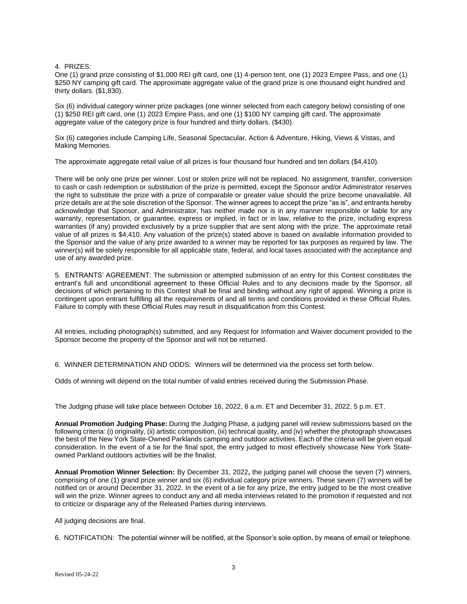## 4. PRIZES:

One (1) grand prize consisting of \$1,000 REI gift card, one (1) 4-person tent, one (1) 2023 Empire Pass, and one (1) \$250 NY camping gift card. The approximate aggregate value of the grand prize is one thousand eight hundred and thirty dollars. (\$1,830).

Six (6) individual category winner prize packages (one winner selected from each category below) consisting of one (1) \$250 REI gift card, one (1) 2023 Empire Pass, and one (1) \$100 NY camping gift card. The approximate aggregate value of the category prize is four hundred and thirty dollars. (\$430).

Six (6) categories include Camping Life, Seasonal Spectacular, Action & Adventure, Hiking, Views & Vistas, and Making Memories.

The approximate aggregate retail value of all prizes is four thousand four hundred and ten dollars (\$4,410).

There will be only one prize per winner. Lost or stolen prize will not be replaced. No assignment, transfer, conversion to cash or cash redemption or substitution of the prize is permitted, except the Sponsor and/or Administrator reserves the right to substitute the prize with a prize of comparable or greater value should the prize become unavailable. All prize details are at the sole discretion of the Sponsor. The winner agrees to accept the prize "as is", and entrants hereby acknowledge that Sponsor, and Administrator, has neither made nor is in any manner responsible or liable for any warranty, representation, or guarantee, express or implied, in fact or in law, relative to the prize, including express warranties (if any) provided exclusively by a prize supplier that are sent along with the prize. The approximate retail value of all prizes is \$4,410. Any valuation of the prize(s) stated above is based on available information provided to the Sponsor and the value of any prize awarded to a winner may be reported for tax purposes as required by law. The winner(s) will be solely responsible for all applicable state, federal, and local taxes associated with the acceptance and use of any awarded prize.

5. ENTRANTS' AGREEMENT: The submission or attempted submission of an entry for this Contest constitutes the entrant's full and unconditional agreement to these Official Rules and to any decisions made by the Sponsor, all decisions of which pertaining to this Contest shall be final and binding without any right of appeal. Winning a prize is contingent upon entrant fulfilling all the requirements of and all terms and conditions provided in these Official Rules. Failure to comply with these Official Rules may result in disqualification from this Contest.

All entries, including photograph(s) submitted, and any Request for Information and Waiver document provided to the Sponsor become the property of the Sponsor and will not be returned.

6. WINNER DETERMINATION AND ODDS: Winners will be determined via the process set forth below.

Odds of winning will depend on the total number of valid entries received during the Submission Phase.

The Judging phase will take place between October 16, 2022, 8 a.m. ET and December 31, 2022, 5 p.m. ET.

**Annual Promotion Judging Phase:** During the Judging Phase, a judging panel will review submissions based on the following criteria: (i) originality, (ii) artistic composition, (iii) technical quality, and (iv) whether the photograph showcases the best of the New York State-Owned Parklands camping and outdoor activities. Each of the criteria will be given equal consideration. In the event of a tie for the final spot, the entry judged to most effectively showcase New York Stateowned Parkland outdoors activities will be the finalist.

**Annual Promotion Winner Selection:** By December 31, 2022**,** the judging panel will choose the seven (7) winners, comprising of one (1) grand prize winner and six (6) individual category prize winners. These seven (7) winners will be notified on or around December 31, 2022. In the event of a tie for any prize, the entry judged to be the most creative will win the prize. Winner agrees to conduct any and all media interviews related to the promotion if requested and not to criticize or disparage any of the Released Parties during interviews.

All judging decisions are final.

6. NOTIFICATION: The potential winner will be notified, at the Sponsor's sole option, by means of email or telephone.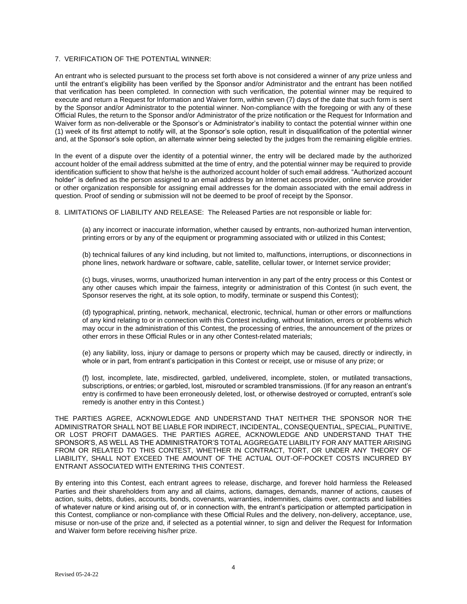## 7. VERIFICATION OF THE POTENTIAL WINNER:

An entrant who is selected pursuant to the process set forth above is not considered a winner of any prize unless and until the entrant's eligibility has been verified by the Sponsor and/or Administrator and the entrant has been notified that verification has been completed. In connection with such verification, the potential winner may be required to execute and return a Request for Information and Waiver form, within seven (7) days of the date that such form is sent by the Sponsor and/or Administrator to the potential winner. Non-compliance with the foregoing or with any of these Official Rules, the return to the Sponsor and/or Administrator of the prize notification or the Request for Information and Waiver form as non-deliverable or the Sponsor's or Administrator's inability to contact the potential winner within one (1) week of its first attempt to notify will, at the Sponsor's sole option, result in disqualification of the potential winner and, at the Sponsor's sole option, an alternate winner being selected by the judges from the remaining eligible entries.

In the event of a dispute over the identity of a potential winner, the entry will be declared made by the authorized account holder of the email address submitted at the time of entry, and the potential winner may be required to provide identification sufficient to show that he/she is the authorized account holder of such email address. "Authorized account holder" is defined as the person assigned to an email address by an Internet access provider, online service provider or other organization responsible for assigning email addresses for the domain associated with the email address in question. Proof of sending or submission will not be deemed to be proof of receipt by the Sponsor.

8. LIMITATIONS OF LIABILITY AND RELEASE: The Released Parties are not responsible or liable for:

(a) any incorrect or inaccurate information, whether caused by entrants, non-authorized human intervention, printing errors or by any of the equipment or programming associated with or utilized in this Contest;

(b) technical failures of any kind including, but not limited to, malfunctions, interruptions, or disconnections in phone lines, network hardware or software, cable, satellite, cellular tower, or Internet service provider;

(c) bugs, viruses, worms, unauthorized human intervention in any part of the entry process or this Contest or any other causes which impair the fairness, integrity or administration of this Contest (in such event, the Sponsor reserves the right, at its sole option, to modify, terminate or suspend this Contest);

(d) typographical, printing, network, mechanical, electronic, technical, human or other errors or malfunctions of any kind relating to or in connection with this Contest including, without limitation, errors or problems which may occur in the administration of this Contest, the processing of entries, the announcement of the prizes or other errors in these Official Rules or in any other Contest-related materials;

(e) any liability, loss, injury or damage to persons or property which may be caused, directly or indirectly, in whole or in part, from entrant's participation in this Contest or receipt, use or misuse of any prize; or

(f) lost, incomplete, late, misdirected, garbled, undelivered, incomplete, stolen, or mutilated transactions, subscriptions, or entries; or garbled, lost, misrouted or scrambled transmissions. (If for any reason an entrant's entry is confirmed to have been erroneously deleted, lost, or otherwise destroyed or corrupted, entrant's sole remedy is another entry in this Contest.)

THE PARTIES AGREE, ACKNOWLEDGE AND UNDERSTAND THAT NEITHER THE SPONSOR NOR THE ADMINISTRATOR SHALL NOT BE LIABLE FOR INDIRECT, INCIDENTAL, CONSEQUENTIAL, SPECIAL, PUNITIVE, OR LOST PROFIT DAMAGES. THE PARTIES AGREE, ACKNOWLEDGE AND UNDERSTAND THAT THE SPONSOR'S, AS WELL AS THE ADMINISTRATOR'S TOTAL AGGREGATE LIABILITY FOR ANY MATTER ARISING FROM OR RELATED TO THIS CONTEST, WHETHER IN CONTRACT, TORT, OR UNDER ANY THEORY OF LIABILITY, SHALL NOT EXCEED THE AMOUNT OF THE ACTUAL OUT-OF-POCKET COSTS INCURRED BY ENTRANT ASSOCIATED WITH ENTERING THIS CONTEST.

By entering into this Contest, each entrant agrees to release, discharge, and forever hold harmless the Released Parties and their shareholders from any and all claims, actions, damages, demands, manner of actions, causes of action, suits, debts, duties, accounts, bonds, covenants, warranties, indemnities, claims over, contracts and liabilities of whatever nature or kind arising out of, or in connection with, the entrant's participation or attempted participation in this Contest, compliance or non-compliance with these Official Rules and the delivery, non-delivery, acceptance, use, misuse or non-use of the prize and, if selected as a potential winner, to sign and deliver the Request for Information and Waiver form before receiving his/her prize.